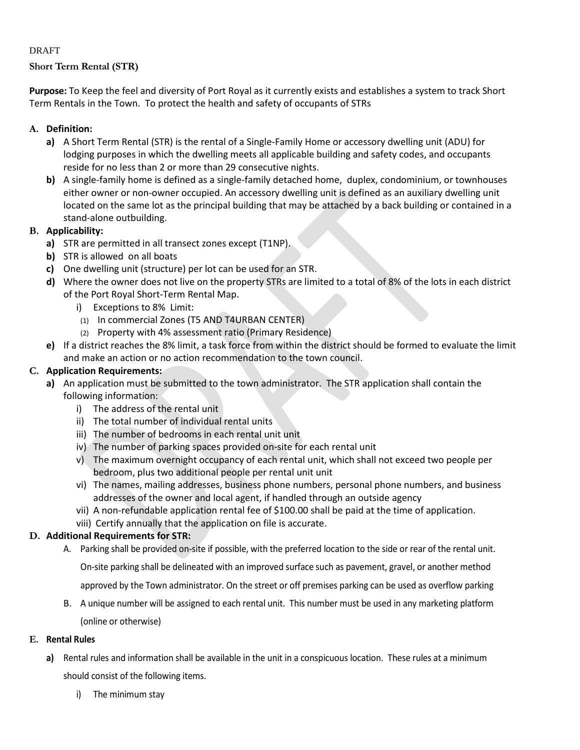### DRAFT

# **Short Term Rental (STR)**

**Purpose:** To Keep the feel and diversity of Port Royal as it currently exists and establishes a system to track Short Term Rentals in the Town. To protect the health and safety of occupants of STRs

# **A. Definition:**

- **a)** A Short Term Rental (STR) is the rental of a Single-Family Home or accessory dwelling unit (ADU) for lodging purposes in which the dwelling meets all applicable building and safety codes, and occupants reside for no less than 2 or more than 29 consecutive nights.
- **b)** A single-family home is defined as a single-family detached home, duplex, condominium, or townhouses either owner or non-owner occupied. An accessory dwelling unit is defined as an auxiliary dwelling unit located on the same lot as the principal building that may be attached by a back building or contained in a stand-alone outbuilding.

### **B. Applicability:**

- **a)** STR are permitted in all transect zones except (T1NP).
- **b)** STR is allowed on all boats
- **c)** One dwelling unit (structure) per lot can be used for an STR.
- **d)** Where the owner does not live on the property STRs are limited to a total of 8% of the lots in each district of the Port Royal Short-Term Rental Map.
	- i) Exceptions to 8% Limit:
	- (1) In commercial Zones (T5 AND T4URBAN CENTER)
	- (2) Property with 4% assessment ratio (Primary Residence)
- **e)** If a district reaches the 8% limit, a task force from within the district should be formed to evaluate the limit and make an action or no action recommendation to the town council.

## **C. Application Requirements:**

- **a)** An application must be submitted to the town administrator. The STR application shall contain the following information:
	- i) The address of the rental unit
	- ii) The total number of individual rental units
	- iii) The number of bedrooms in each rental unit unit
	- iv) The number of parking spaces provided on-site for each rental unit
	- v) The maximum overnight occupancy of each rental unit, which shall not exceed two people per bedroom, plus two additional people per rental unit unit
	- vi) The names, mailing addresses, business phone numbers, personal phone numbers, and business addresses of the owner and local agent, if handled through an outside agency
	- vii) A non-refundable application rental fee of \$100.00 shall be paid at the time of application.
	- viii) Certify annually that the application on file is accurate.

### **D. Additional Requirements for STR:**

A. Parking shall be provided on-site if possible, with the preferred location to the side or rear of the rental unit.

On-site parking shall be delineated with an improved surface such as pavement, gravel, or another method

approved by the Town administrator. On the street or off premises parking can be used as overflow parking

B. A unique number will be assigned to each rental unit. This number must be used in any marketing platform (online or otherwise)

### **E. Rental Rules**

- **a)** Rental rules and information shall be available in the unit in a conspicuous location. These rules at a minimum should consist of the following items.
	- i) The minimum stay